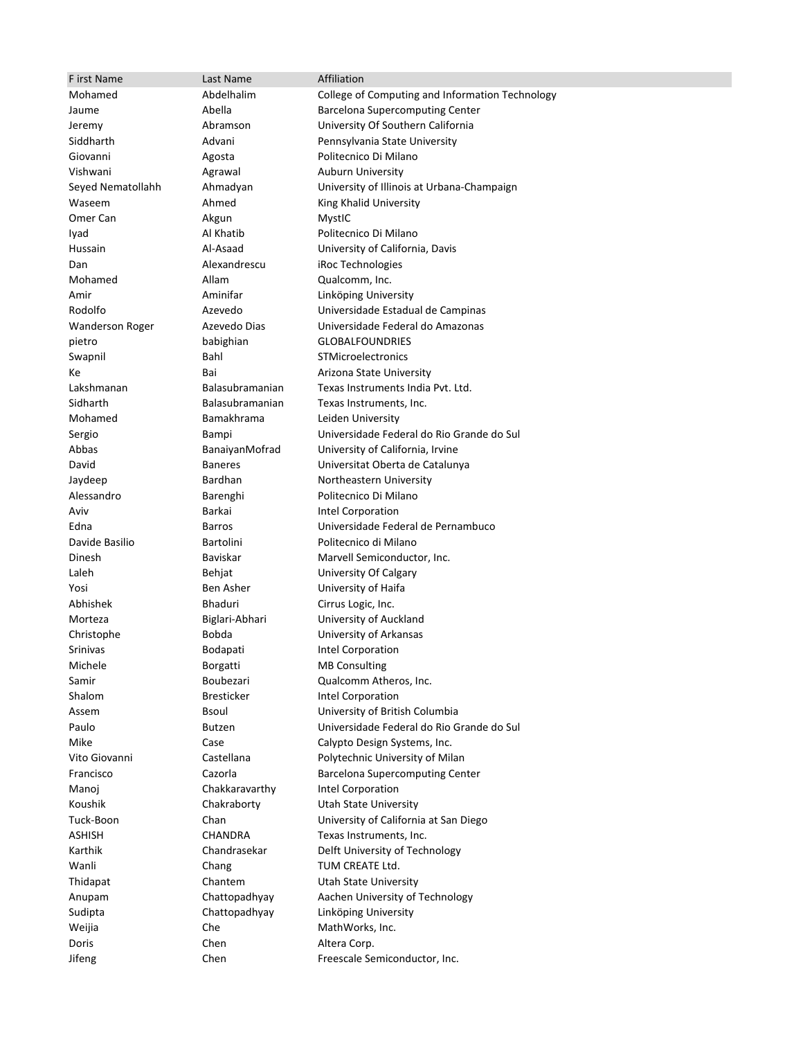| F irst Name            | Last Name          | Affiliation                                      |
|------------------------|--------------------|--------------------------------------------------|
| Mohamed                | Abdelhalim         | College of Computing and Information Technology  |
| Jaume                  | Abella             | <b>Barcelona Supercomputing Center</b>           |
| Jeremy                 | Abramson           | University Of Southern California                |
| Siddharth              | Advani             | Pennsylvania State University                    |
| Giovanni               | Agosta             | Politecnico Di Milano                            |
| Vishwani               | Agrawal            | <b>Auburn University</b>                         |
| Seyed Nematollahh      | Ahmadyan           | University of Illinois at Urbana-Champaign       |
| Waseem                 | Ahmed              | King Khalid University                           |
| Omer Can               | Akgun              | MystIC                                           |
| Iyad                   | Al Khatib          | Politecnico Di Milano                            |
| Hussain                | Al-Asaad           | University of California, Davis                  |
| Dan                    | Alexandrescu       | iRoc Technologies                                |
| Mohamed                | Allam              | Qualcomm, Inc.                                   |
| Amir                   | Aminifar           | Linköping University                             |
| Rodolfo                | Azevedo            | Universidade Estadual de Campinas                |
| <b>Wanderson Roger</b> | Azevedo Dias       | Universidade Federal do Amazonas                 |
| pietro                 | babighian          | <b>GLOBALFOUNDRIES</b>                           |
| Swapnil                | Bahl               | STMicroelectronics                               |
| Кe                     | Bai                | Arizona State University                         |
| Lakshmanan             | Balasubramanian    | Texas Instruments India Pvt. Ltd.                |
| Sidharth               | Balasubramanian    | Texas Instruments, Inc.                          |
| Mohamed                | <b>Bamakhrama</b>  | Leiden University                                |
| Sergio                 | Bampi              | Universidade Federal do Rio Grande do Sul        |
| Abbas                  | BanaiyanMofrad     | University of California, Irvine                 |
| David                  | <b>Baneres</b>     | Universitat Oberta de Catalunya                  |
| Jaydeep<br>Alessandro  | Bardhan            | Northeastern University<br>Politecnico Di Milano |
| Aviv                   | Barenghi<br>Barkai | Intel Corporation                                |
| Edna                   | <b>Barros</b>      | Universidade Federal de Pernambuco               |
| Davide Basilio         | Bartolini          | Politecnico di Milano                            |
| Dinesh                 | Baviskar           | Marvell Semiconductor, Inc.                      |
| Laleh                  | Behjat             | University Of Calgary                            |
| Yosi                   | Ben Asher          | University of Haifa                              |
| Abhishek               | Bhaduri            | Cirrus Logic, Inc.                               |
| Morteza                | Biglari-Abhari     | University of Auckland                           |
| Christophe             | Bobda              | University of Arkansas                           |
| <b>Srinivas</b>        | <b>Bodapati</b>    | Intel Corporation                                |
| Michele                | Borgatti           | <b>MB Consulting</b>                             |
| Samir                  | Boubezari          | Qualcomm Atheros, Inc.                           |
| Shalom                 | <b>Bresticker</b>  | Intel Corporation                                |
| Assem                  | <b>Bsoul</b>       | University of British Columbia                   |
| Paulo                  | <b>Butzen</b>      | Universidade Federal do Rio Grande do Sul        |
| Mike                   | Case               | Calypto Design Systems, Inc.                     |
| Vito Giovanni          | Castellana         | Polytechnic University of Milan                  |
| Francisco              | Cazorla            | <b>Barcelona Supercomputing Center</b>           |
| Manoj                  | Chakkaravarthy     | Intel Corporation                                |
| Koushik                | Chakraborty        | <b>Utah State University</b>                     |
| Tuck-Boon              | Chan               | University of California at San Diego            |
| <b>ASHISH</b>          | CHANDRA            | Texas Instruments, Inc.                          |
| Karthik                | Chandrasekar       | Delft University of Technology                   |
| Wanli<br>Thidapat      | Chang<br>Chantem   | TUM CREATE Ltd.<br><b>Utah State University</b>  |
| Anupam                 | Chattopadhyay      | Aachen University of Technology                  |
| Sudipta                | Chattopadhyay      | Linköping University                             |
| Weijia                 | Che                | MathWorks, Inc.                                  |
| Doris                  | Chen               | Altera Corp.                                     |
| Jifeng                 | Chen               | Freescale Semiconductor, Inc.                    |
|                        |                    |                                                  |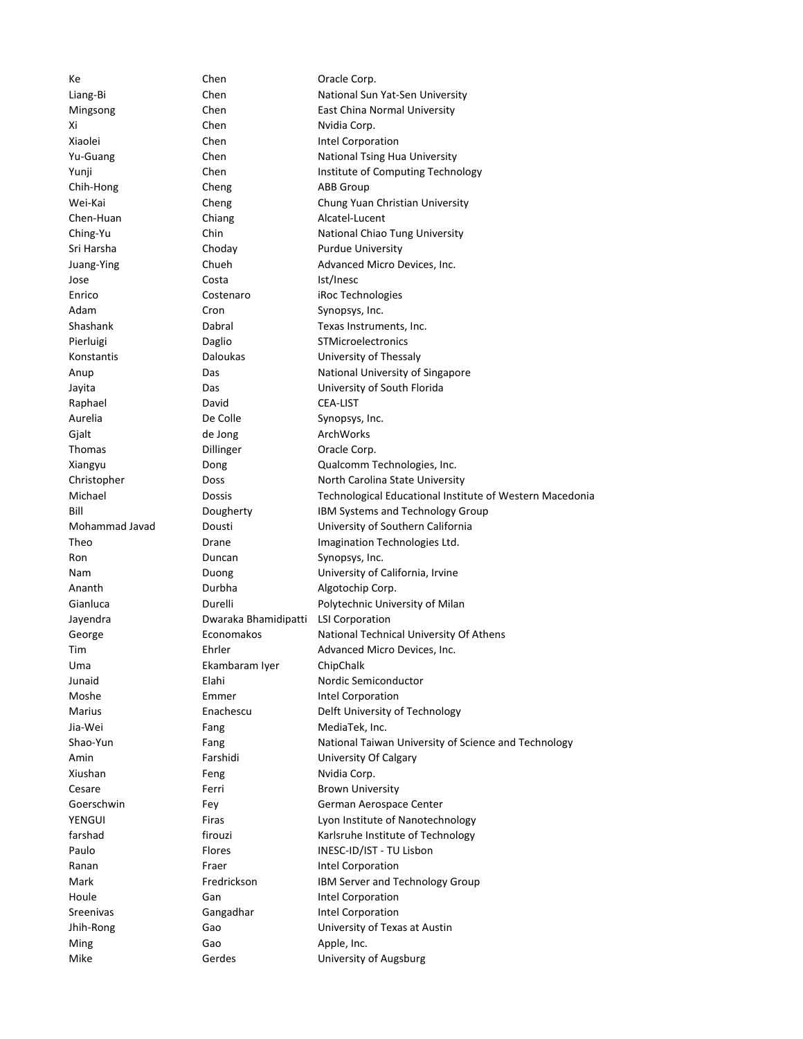Ke Chen Chen Oracle Corp. Liang-Bi Chen Chen National Sun Yat-Sen University Mingsong Chen Chen East China Normal University Xi Chen Nvidia Corp. Xiaolei Chen Chen Intel Corporation Yu-Guang Chen Chen National Tsing Hua University Yunji Chen Chen Institute of Computing Technology Chih-Hong Cheng ABB Group Wei-Kai Cheng Cheng Chung Yuan Christian University Chen-Huan Chiang Chiang Alcatel-Lucent Ching-Yu Chin Chin National Chiao Tung University Sri Harsha **Choday** Choday **Purdue University** Juang-Ying Chueh Chueh Advanced Micro Devices, Inc. Jose Costa Ist/Inesc Enrico Costenaro iRoc Technologies Adam Cron Synopsys, Inc. Shashank Dabral Dabral Texas Instruments, Inc. Pierluigi Daglio STMicroelectronics Konstantis Daloukas University of Thessaly Anup **Das** Das National University of Singapore Jayita Das University of South Florida Raphael David David CEA-LIST Aurelia De Colle Synopsys, Inc. Gjalt de Jong ArchWorks Thomas Dillinger Dillinger Oracle Corp. Xiangyu Dong Qualcomm Technologies, Inc. Christopher **Doss** Doss North Carolina State University Michael Dossis Technological Educational Institute of Western Macedonia Bill **Bill** Dougherty **IBM Systems and Technology Group** Mohammad Javad Dousti University of Southern California Theo Drane Drane Imagination Technologies Ltd. Ron Duncan Duncan Synopsys, Inc. Nam Duong Duong University of California, Irvine Ananth Durbha Algotochip Corp. Gianluca **Durelli** Durelli Polytechnic University of Milan Jayendra Dwaraka Bhamidipatti LSI Corporation George **Exercise Economakos** National Technical University Of Athens Tim Ehrler Advanced Micro Devices, Inc. Uma Ekambaram Iyer ChipChalk Junaid **Elahi** Elahi Nordic Semiconductor Moshe **Emmer** Emmer Intel Corporation Marius **Enachescu** Delft University of Technology Jia-Wei Fang Fang MediaTek, Inc. Shao-Yun Fang Fang National Taiwan University of Science and Technology Amin Farshidi University Of Calgary Xiushan Feng Nvidia Corp. Cesare **Ferri** Ferri Brown University Goerschwin Fey Fey German Aerospace Center YENGUI Firas Firas Lyon Institute of Nanotechnology farshad firouzi Karlsruhe Institute of Technology Paulo Flores INESC-ID/IST - TU Lisbon Ranan Fraer Fraer Intel Corporation Mark **IBM Server and Technology Group** Houle **Gan** Gan Intel Corporation Sreenivas Gangadhar Intel Corporation Jhih-Rong Gao University of Texas at Austin Ming Gao Gao Apple, Inc. Mike Gerdes Gerdes University of Augsburg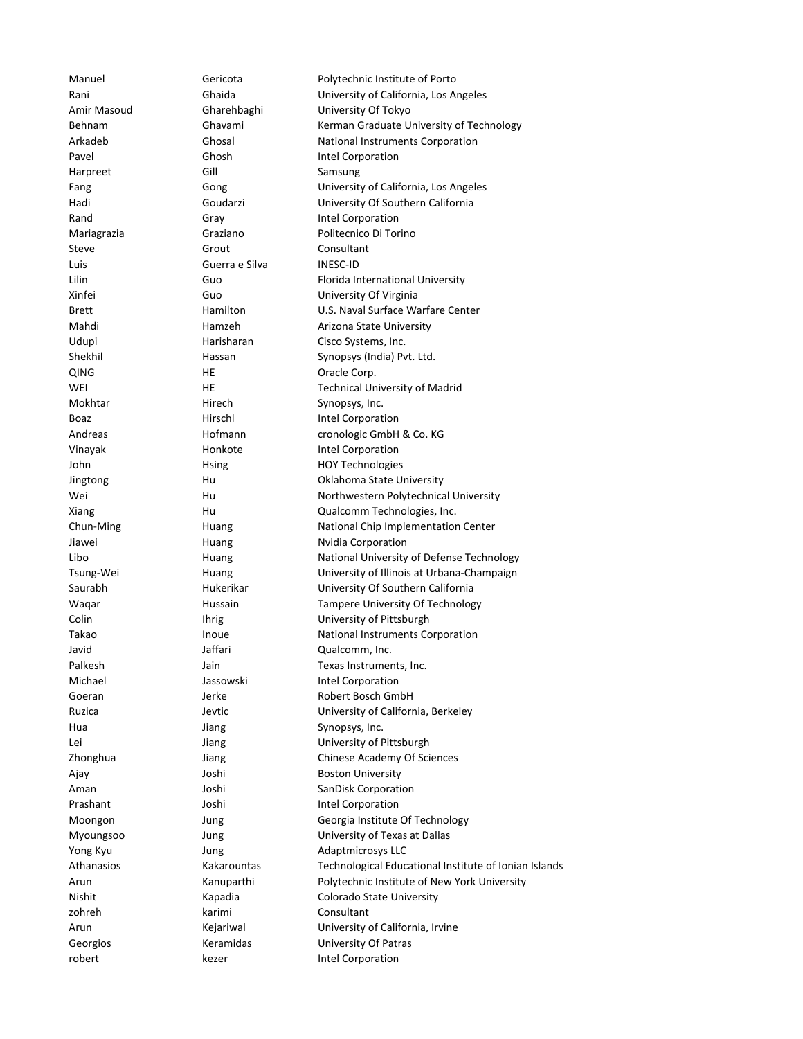Manuel Gericota Polytechnic Institute of Porto Rani Ghaida University of California, Los Angeles Amir Masoud Gharehbaghi University Of Tokyo Behnam Ghavami Kerman Graduate University of Technology Arkadeb Ghosal National Instruments Corporation Pavel **Ghosh** Ghosh Intel Corporation Harpreet Gill Gill Samsung Fang Gong University of California, Los Angeles Hadi Goudarzi University Of Southern California Rand Gray Gray Intel Corporation Mariagrazia Graziano Politecnico Di Torino Steve Grout Grout Consultant Luis Guerra e Silva INESC-ID Lilin Guo Florida International University Xinfei Guo University Of Virginia Brett **Hamilton** Hamilton U.S. Naval Surface Warfare Center Mahdi **Hamzeh** Arizona State University Udupi **Harisharan** Cisco Systems, Inc. Shekhil **Hassan** Hassan Synopsys (India) Pvt. Ltd. QING HE Oracle Corp. WEI **HE Technical University of Madrid** Mokhtar **Hirech** Synopsys, Inc. Boaz **Hirschl** Hirschl Intel Corporation Andreas Hofmann cronologic GmbH & Co. KG Vinayak Honkote Intel Corporation John Hoy Technologies HOY Technologies Jingtong Hu Oklahoma State University Wei **Hu Hu Northwestern Polytechnical University** Xiang Hu Qualcomm Technologies, Inc. Chun-Ming Huang National Chip Implementation Center Jiawei **Huang** Nvidia Corporation Libo **Huang** Huang National University of Defense Technology Tsung-Wei Huang University of Illinois at Urbana-Champaign Saurabh Hukerikar University Of Southern California Waqar **Hussain** Hussain Tampere University Of Technology Colin Ihrig University of Pittsburgh Takao **Inoue** Inoue National Instruments Corporation Javid Jaffari Qualcomm, Inc. Palkesh Jain Jain Texas Instruments, Inc. Michael **Jassowski** Intel Corporation Goeran Jerke Robert Bosch GmbH Ruzica **Matter Contract Contract University of California, Berkeley** Hua Jiang Synopsys, Inc. Lei Jiang University of Pittsburgh Zhonghua Jiang Chinese Academy Of Sciences Ajay **Alleman Accord University** Joshi **Boston University** Aman Joshi SanDisk Corporation Prashant Joshi Joshi Intel Corporation Moongon Jung Jung Georgia Institute Of Technology Myoungsoo Jung University of Texas at Dallas Yong Kyu **Jung Adaptmicrosys LLC** Athanasios Kakarountas Technological Educational Institute of Ionian Islands Arun Kanuparthi Polytechnic Institute of New York University Nishit Kapadia Colorado State University zohreh karimi Consultant Arun Kejariwal University of California, Irvine Georgios **Keramidas** University Of Patras robert kezer Intel Corporation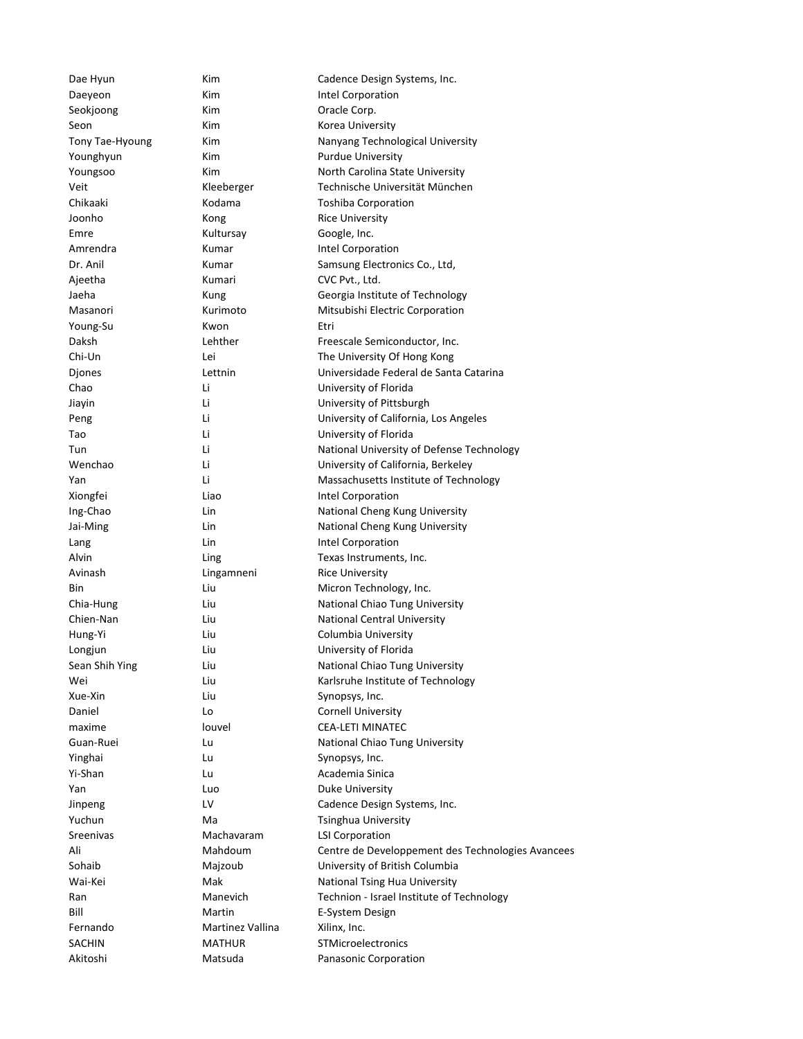| Dae Hyun        | Kim              | Cadence Design Systems, Inc.                      |
|-----------------|------------------|---------------------------------------------------|
| Daeyeon         | Kim              | Intel Corporation                                 |
| Seokjoong       | Kim              | Oracle Corp.                                      |
| Seon            | Kim              | Korea University                                  |
| Tony Tae-Hyoung | Kim              | Nanyang Technological University                  |
| Younghyun       | Kim              | <b>Purdue University</b>                          |
| Youngsoo        | Kim              | North Carolina State University                   |
| Veit            | Kleeberger       | Technische Universität München                    |
| Chikaaki        | Kodama           | <b>Toshiba Corporation</b>                        |
| Joonho          | Kong             | <b>Rice University</b>                            |
| Emre            | Kultursay        | Google, Inc.                                      |
| Amrendra        | Kumar            | Intel Corporation                                 |
| Dr. Anil        | Kumar            | Samsung Electronics Co., Ltd,                     |
| Ajeetha         | Kumari           | CVC Pvt., Ltd.                                    |
| Jaeha           | Kung             | Georgia Institute of Technology                   |
| Masanori        | Kurimoto         | Mitsubishi Electric Corporation                   |
| Young-Su        | Kwon             | Etri                                              |
| Daksh           | Lehther          | Freescale Semiconductor, Inc.                     |
|                 |                  |                                                   |
| Chi-Un          | Lei              | The University Of Hong Kong                       |
| Djones          | Lettnin          | Universidade Federal de Santa Catarina            |
| Chao            | Li               | University of Florida                             |
| Jiayin          | Li               | University of Pittsburgh                          |
| Peng            | Li               | University of California, Los Angeles             |
| Tao             | Li               | University of Florida                             |
| Tun             | Li               | National University of Defense Technology         |
| Wenchao         | Li               | University of California, Berkeley                |
| Yan             | Li               | Massachusetts Institute of Technology             |
| Xiongfei        | Liao             | Intel Corporation                                 |
| Ing-Chao        | Lin              | National Cheng Kung University                    |
| Jai-Ming        | Lin              | National Cheng Kung University                    |
| Lang            | Lin              | Intel Corporation                                 |
| Alvin           | Ling             | Texas Instruments, Inc.                           |
| Avinash         | Lingamneni       | <b>Rice University</b>                            |
| Bin             | Liu              | Micron Technology, Inc.                           |
| Chia-Hung       | Liu              | National Chiao Tung University                    |
| Chien-Nan       | Liu              | National Central University                       |
| Hung-Yi         | Liu              | Columbia University                               |
| Longjun         | Liu              | University of Florida                             |
| Sean Shih Ying  | Liu              | National Chiao Tung University                    |
| Wei             | Liu              | Karlsruhe Institute of Technology                 |
| Xue-Xin         | Liu              | Synopsys, Inc.                                    |
| Daniel          | Lo               | <b>Cornell University</b>                         |
| maxime          | louvel           | <b>CEA-LETI MINATEC</b>                           |
|                 |                  |                                                   |
| Guan-Ruei       | Lu               | National Chiao Tung University                    |
| Yinghai         | Lu               | Synopsys, Inc.                                    |
| Yi-Shan         | Lu               | Academia Sinica                                   |
| Yan             | Luo              | Duke University                                   |
| Jinpeng         | LV               | Cadence Design Systems, Inc.                      |
| Yuchun          | Ma               | Tsinghua University                               |
| Sreenivas       | Machavaram       | <b>LSI Corporation</b>                            |
| Ali             | Mahdoum          | Centre de Developpement des Technologies Avancees |
| Sohaib          | Majzoub          | University of British Columbia                    |
| Wai-Kei         | Mak              | National Tsing Hua University                     |
| Ran             | Manevich         | Technion - Israel Institute of Technology         |
| Bill            | Martin           | E-System Design                                   |
| Fernando        | Martinez Vallina | Xilinx, Inc.                                      |
| <b>SACHIN</b>   | <b>MATHUR</b>    | STMicroelectronics                                |
| Akitoshi        | Matsuda          | Panasonic Corporation                             |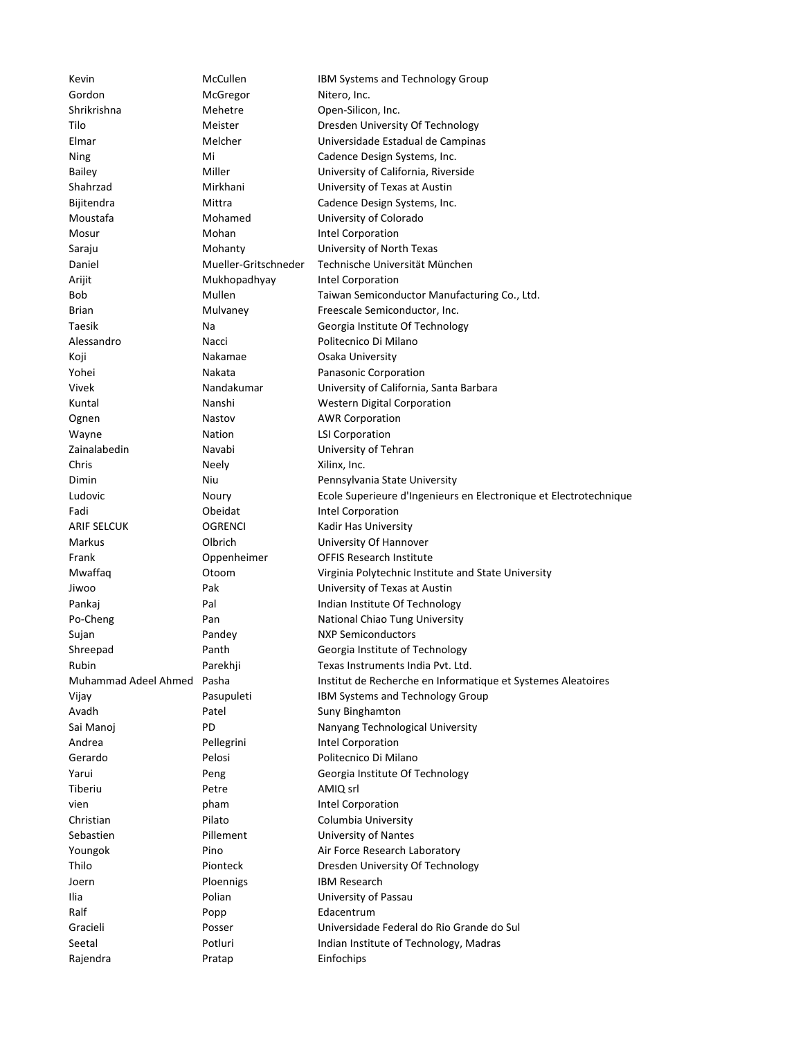| Kevin                | McCullen             | IBM Systems and Technology Group                                  |
|----------------------|----------------------|-------------------------------------------------------------------|
| Gordon               | McGregor             | Nitero, Inc.                                                      |
| Shrikrishna          | Mehetre              | Open-Silicon, Inc.                                                |
| Tilo                 | Meister              | Dresden University Of Technology                                  |
| Elmar                | Melcher              | Universidade Estadual de Campinas                                 |
| Ning                 | Mi                   | Cadence Design Systems, Inc.                                      |
| <b>Bailey</b>        | Miller               | University of California, Riverside                               |
| Shahrzad             | Mirkhani             | University of Texas at Austin                                     |
| Bijitendra           | Mittra               | Cadence Design Systems, Inc.                                      |
| Moustafa             | Mohamed              | University of Colorado                                            |
| Mosur                | Mohan                | Intel Corporation                                                 |
| Saraju               | Mohanty              | University of North Texas                                         |
| Daniel               | Mueller-Gritschneder | Technische Universität München                                    |
| Arijit               | Mukhopadhyay         | Intel Corporation                                                 |
| Bob                  | Mullen               | Taiwan Semiconductor Manufacturing Co., Ltd.                      |
| <b>Brian</b>         | Mulvaney             | Freescale Semiconductor, Inc.                                     |
| Taesik               | Na                   | Georgia Institute Of Technology                                   |
| Alessandro           | Nacci                | Politecnico Di Milano                                             |
| Koji                 | Nakamae              | Osaka University                                                  |
| Yohei                | Nakata               | Panasonic Corporation                                             |
| Vivek                | Nandakumar           | University of California, Santa Barbara                           |
| Kuntal               | Nanshi               | <b>Western Digital Corporation</b>                                |
| Ognen                | Nastov               | <b>AWR Corporation</b>                                            |
| Wayne                | Nation               | <b>LSI Corporation</b>                                            |
| Zainalabedin         | Navabi               | University of Tehran                                              |
| Chris                | Neely                | Xilinx, Inc.                                                      |
| Dimin                | Niu                  | Pennsylvania State University                                     |
| Ludovic              | Noury                | Ecole Superieure d'Ingenieurs en Electronique et Electrotechnique |
| Fadi                 | Obeidat              | Intel Corporation                                                 |
| <b>ARIF SELCUK</b>   | OGRENCI              | Kadir Has University                                              |
| Markus               | Olbrich              | University Of Hannover                                            |
| Frank                | Oppenheimer          | OFFIS Research Institute                                          |
| Mwaffaq              | Otoom                | Virginia Polytechnic Institute and State University               |
| Jiwoo                | Pak                  | University of Texas at Austin                                     |
| Pankaj               | Pal                  | Indian Institute Of Technology                                    |
| Po-Cheng             | Pan                  | National Chiao Tung University                                    |
| Sujan                | Pandey               | <b>NXP Semiconductors</b>                                         |
| Shreepad             | Panth                | Georgia Institute of Technology                                   |
| Rubin                | Parekhji             | Texas Instruments India Pvt. Ltd.                                 |
| Muhammad Adeel Ahmed | Pasha                | Institut de Recherche en Informatique et Systemes Aleatoires      |
| Vijay                | Pasupuleti           | IBM Systems and Technology Group                                  |
| Avadh                | Patel                | Suny Binghamton                                                   |
| Sai Manoj            | PD                   | Nanyang Technological University                                  |
| Andrea               | Pellegrini           | Intel Corporation                                                 |
| Gerardo              | Pelosi               | Politecnico Di Milano                                             |
|                      |                      |                                                                   |
| Yarui<br>Tiberiu     | Peng<br>Petre        | Georgia Institute Of Technology<br>AMIQ srl                       |
|                      |                      |                                                                   |
| vien                 | pham                 | Intel Corporation                                                 |
| Christian            | Pilato               | Columbia University                                               |
| Sebastien            | Pillement            | University of Nantes                                              |
| Youngok              | Pino                 | Air Force Research Laboratory                                     |
| Thilo                | Pionteck             | Dresden University Of Technology                                  |
| Joern                | <b>Ploennigs</b>     | <b>IBM Research</b>                                               |
| Ilia                 | Polian               | University of Passau                                              |
| Ralf                 | Popp                 | Edacentrum                                                        |
| Gracieli             | Posser               | Universidade Federal do Rio Grande do Sul                         |
| Seetal               | Potluri              | Indian Institute of Technology, Madras                            |
| Rajendra             | Pratap               | Einfochips                                                        |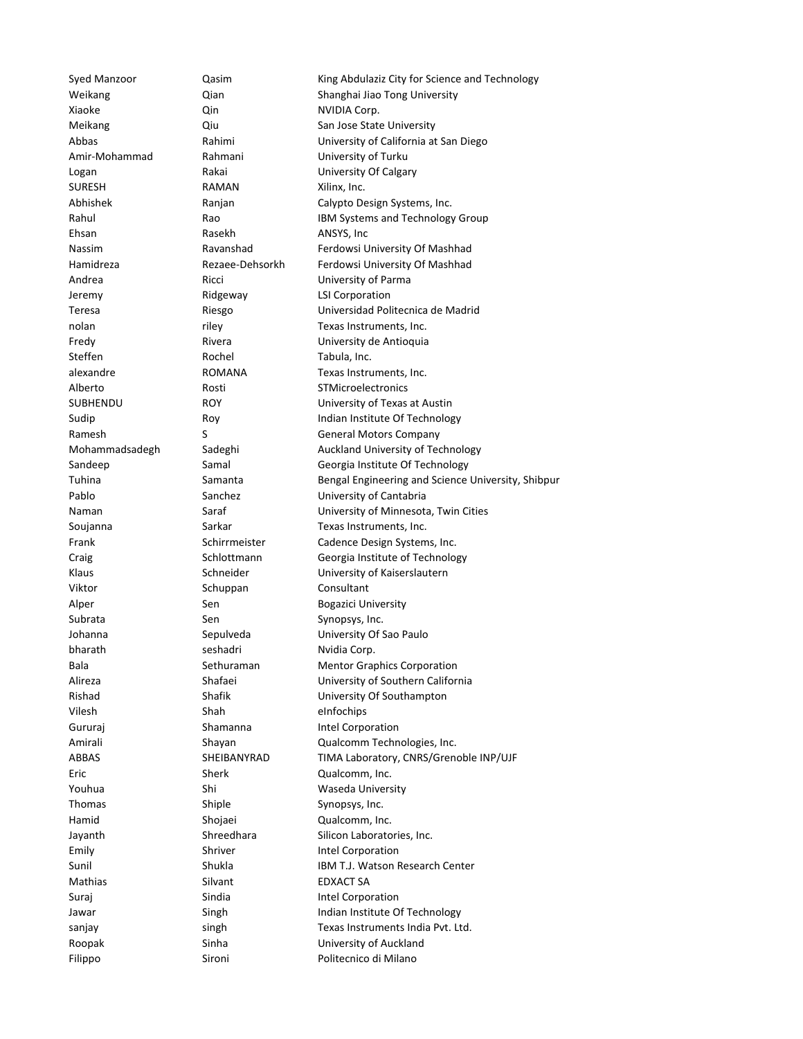Xiaoke **Qin** Qin NVIDIA Corp. SURESH RAMAN Xilinx, Inc. Ehsan Rasekh ANSYS, Inc. Jeremy Ridgeway LSI Corporation Steffen Rochel Tabula, Inc. Viktor Schuppan Consultant Subrata Sen Synopsys, Inc. bharath seshadri Nvidia Corp. Vilesh Shah eInfochips Gururaj Shamanna Intel Corporation Eric Sherk Qualcomm, Inc. Thomas Shiple Synopsys, Inc. Hamid Shojaei Qualcomm, Inc. Emily Shriver Intel Corporation Mathias Silvant Silvant EDXACT SA Suraj Sindia **Intel Corporation** 

Syed Manzoor **Qasim Commandata City for Science and Technology** Weikang **Can** Qian Shanghai Jiao Tong University Meikang **Qiu Character Communist Communist Communist Communist Communist Communist Communist Communist Communist Communist Communist Communist Communist Communist Communist Communist Communist Communist Communist Communist** Abbas Rahimi University of California at San Diego Amir-Mohammad Rahmani University of Turku Logan Rakai University Of Calgary Abhishek Ranjan Calypto Design Systems, Inc. Rahul Rao Rao IBM Systems and Technology Group Nassim **Ravanshad** Ferdowsi University Of Mashhad Hamidreza Rezaee-Dehsorkh Ferdowsi University Of Mashhad Andrea Ricci University of Parma Teresa Riesgo Universidad Politecnica de Madrid nolan riley riley Texas Instruments, Inc. Fredy Rivera **Example 20** Rivera University de Antioquia alexandre ROMANA Texas Instruments, Inc. Alberto Rosti STMicroelectronics SUBHENDU ROY University of Texas at Austin Sudip **Roy** Roy **Indian Institute Of Technology** Ramesh S S General Motors Company Mohammadsadegh Sadeghi Auckland University of Technology Sandeep Samal Samal Georgia Institute Of Technology Tuhina Samanta Bengal Engineering and Science University, Shibpur Pablo Sanchez University of Cantabria Naman Saraf University of Minnesota, Twin Cities Soujanna **Sarkar** Sarkar Texas Instruments, Inc. Frank Schirrmeister Cadence Design Systems, Inc. Craig Craig Craig Schlottmann Georgia Institute of Technology Klaus Schneider University of Kaiserslautern Alper Sen Sen Bogazici University Johanna Sepulveda University Of Sao Paulo Bala Sethuraman Mentor Graphics Corporation Alireza Shafaei University of Southern California Rishad Shafik University Of Southampton Amirali Shayan Qualcomm Technologies, Inc. ABBAS SHEIBANYRAD TIMA Laboratory, CNRS/Grenoble INP/UJF Youhua Shi Shi Waseda University Jayanth Shreedhara Silicon Laboratories, Inc. Sunil Shukla IBM T.J. Watson Research Center Jawar Singh Singh Indian Institute Of Technology sanjay singh singh Texas Instruments India Pvt. Ltd. Roopak Sinha Sinha University of Auckland Filippo Sironi Politecnico di Milano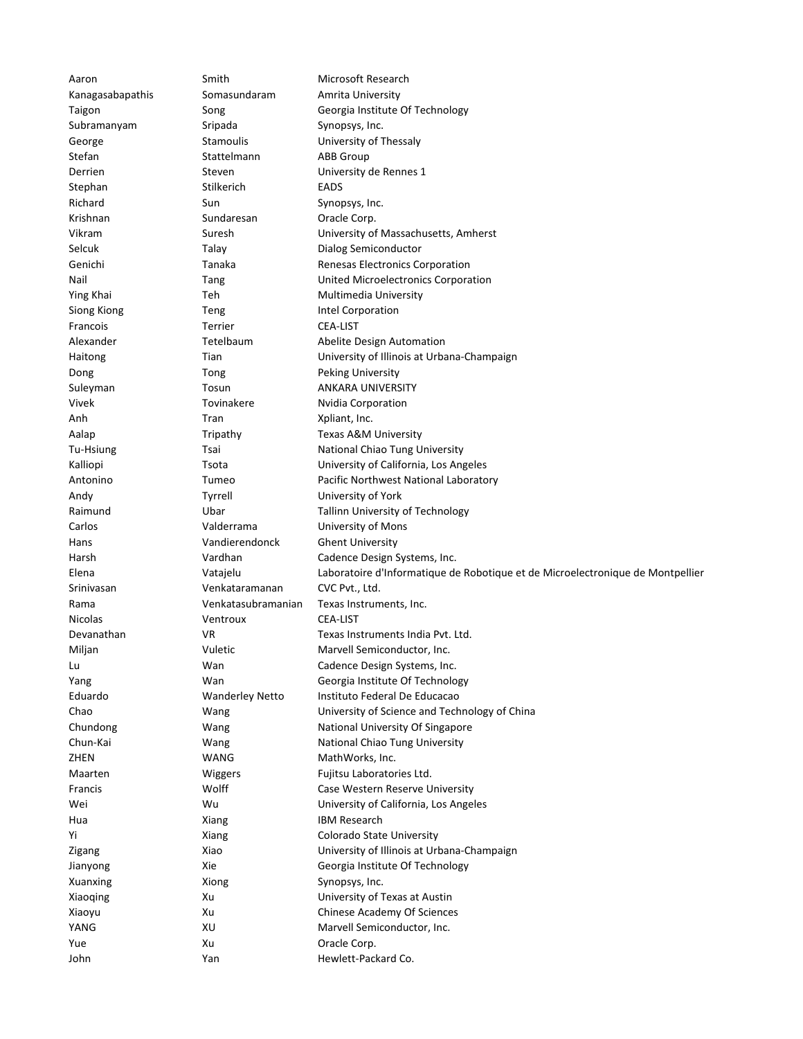| Aaron            | Smith                  | Microsoft Research                                                             |
|------------------|------------------------|--------------------------------------------------------------------------------|
| Kanagasabapathis | Somasundaram           | Amrita University                                                              |
| Taigon           | Song                   | Georgia Institute Of Technology                                                |
| Subramanyam      | Sripada                | Synopsys, Inc.                                                                 |
| George           | <b>Stamoulis</b>       | University of Thessaly                                                         |
| Stefan           | Stattelmann            | <b>ABB Group</b>                                                               |
| Derrien          | Steven                 | University de Rennes 1                                                         |
| Stephan          | Stilkerich             | <b>EADS</b>                                                                    |
| Richard          | Sun                    | Synopsys, Inc.                                                                 |
| Krishnan         | Sundaresan             | Oracle Corp.                                                                   |
| Vikram           | Suresh                 | University of Massachusetts, Amherst                                           |
| Selcuk           | Talay                  | Dialog Semiconductor                                                           |
| Genichi          | Tanaka                 | Renesas Electronics Corporation                                                |
| Nail             | Tang                   | United Microelectronics Corporation                                            |
| Ying Khai        | Teh                    | Multimedia University                                                          |
| Siong Kiong      | Teng                   | Intel Corporation                                                              |
| Francois         | <b>Terrier</b>         | <b>CEA-LIST</b>                                                                |
| Alexander        | Tetelbaum              | Abelite Design Automation                                                      |
| Haitong          | Tian                   | University of Illinois at Urbana-Champaign                                     |
| Dong             | Tong                   | <b>Peking University</b>                                                       |
| Suleyman         | Tosun                  | ANKARA UNIVERSITY                                                              |
| Vivek            | Tovinakere             | Nvidia Corporation                                                             |
| Anh              | Tran                   | Xpliant, Inc.                                                                  |
| Aalap            | Tripathy               | Texas A&M University                                                           |
| Tu-Hsiung        | Tsai                   | National Chiao Tung University                                                 |
| Kalliopi         | Tsota                  | University of California, Los Angeles                                          |
| Antonino         | Tumeo                  | Pacific Northwest National Laboratory                                          |
| Andy             | Tyrrell                | University of York                                                             |
| Raimund          | Ubar                   | Tallinn University of Technology                                               |
| Carlos           | Valderrama             | University of Mons                                                             |
| Hans             | Vandierendonck         | <b>Ghent University</b>                                                        |
| Harsh            | Vardhan                | Cadence Design Systems, Inc.                                                   |
| Elena            | Vatajelu               | Laboratoire d'Informatique de Robotique et de Microelectronique de Montpellier |
| Srinivasan       | Venkataramanan         | CVC Pvt., Ltd.                                                                 |
| Rama             | Venkatasubramanian     | Texas Instruments, Inc.                                                        |
| <b>Nicolas</b>   | Ventroux               | <b>CEA-LIST</b>                                                                |
| Devanathan       | VR                     | Texas Instruments India Pyt. Ltd.                                              |
| Miljan           | Vuletic                | Marvell Semiconductor, Inc.                                                    |
| Lu               | Wan                    | Cadence Design Systems, Inc.                                                   |
| Yang             | Wan                    | Georgia Institute Of Technology                                                |
| Eduardo          | <b>Wanderley Netto</b> | Instituto Federal De Educacao                                                  |
| Chao             | Wang                   | University of Science and Technology of China                                  |
| Chundong         | Wang                   | National University Of Singapore                                               |
| Chun-Kai         | Wang                   | National Chiao Tung University                                                 |
| ZHEN             | WANG                   | MathWorks, Inc.                                                                |
| Maarten          | Wiggers                | Fujitsu Laboratories Ltd.                                                      |
| Francis          | Wolff                  | Case Western Reserve University                                                |
| Wei              | Wu                     | University of California, Los Angeles                                          |
| Hua              | Xiang                  | <b>IBM Research</b>                                                            |
| Υi               | Xiang                  | Colorado State University                                                      |
| Zigang           | Xiao                   | University of Illinois at Urbana-Champaign                                     |
| Jianyong         | Xie                    | Georgia Institute Of Technology                                                |
| Xuanxing         | Xiong                  | Synopsys, Inc.                                                                 |
| Xiaoqing         | Xu                     | University of Texas at Austin                                                  |
| Xiaoyu           | Xu                     | Chinese Academy Of Sciences                                                    |
| YANG             | XU                     | Marvell Semiconductor, Inc.                                                    |
| Yue              | Xu                     | Oracle Corp.                                                                   |
| John             | Yan                    | Hewlett-Packard Co.                                                            |
|                  |                        |                                                                                |